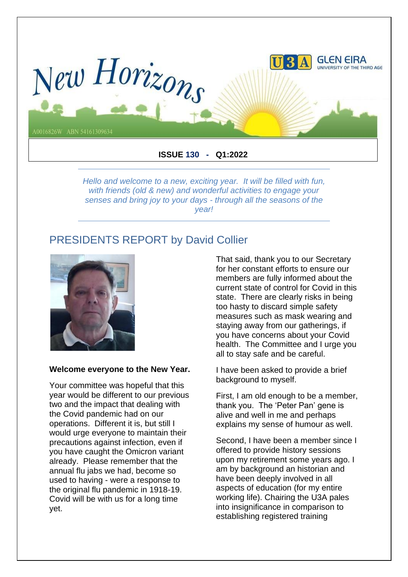

*Hello and welcome to a new, exciting year. It will be filled with fun, with friends (old & new) and wonderful activities to engage your senses and bring joy to your days - through all the seasons of the year!*

### PRESIDENTS REPORT by David Collier



#### **Welcome everyone to the New Year.**

Your committee was hopeful that this year would be different to our previous two and the impact that dealing with the Covid pandemic had on our operations. Different it is, but still I would urge everyone to maintain their precautions against infection, even if you have caught the Omicron variant already. Please remember that the annual flu jabs we had, become so used to having - were a response to the original flu pandemic in 1918-19. Covid will be with us for a long time yet.

That said, thank you to our Secretary for her constant efforts to ensure our members are fully informed about the current state of control for Covid in this state. There are clearly risks in being too hasty to discard simple safety measures such as mask wearing and staying away from our gatherings, if you have concerns about your Covid health. The Committee and I urge you all to stay safe and be careful.

I have been asked to provide a brief background to myself.

First, I am old enough to be a member, thank you. The 'Peter Pan' gene is alive and well in me and perhaps explains my sense of humour as well.

Second, I have been a member since I offered to provide history sessions upon my retirement some years ago. I am by background an historian and have been deeply involved in all aspects of education (for my entire working life). Chairing the U3A pales into insignificance in comparison to establishing registered training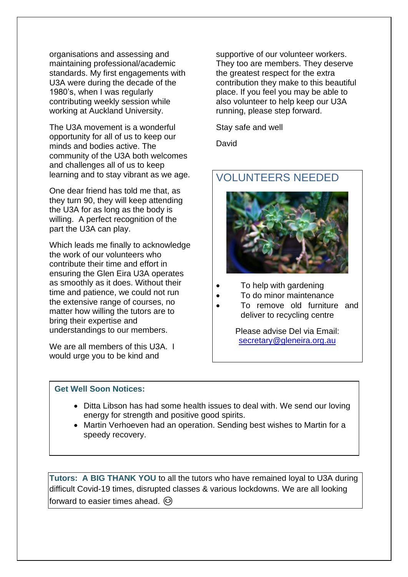organisations and assessing and maintaining professional/academic standards. My first engagements with U3A were during the decade of the 1980's, when I was regularly contributing weekly session while working at Auckland University.

The U3A movement is a wonderful opportunity for all of us to keep our minds and bodies active. The community of the U3A both welcomes and challenges all of us to keep learning and to stay vibrant as we age.

One dear friend has told me that, as they turn 90, they will keep attending the U3A for as long as the body is willing. A perfect recognition of the part the U3A can play.

Which leads me finally to acknowledge the work of our volunteers who contribute their time and effort in ensuring the Glen Eira U3A operates as smoothly as it does. Without their time and patience, we could not run the extensive range of courses, no matter how willing the tutors are to bring their expertise and understandings to our members.

We are all members of this U3A. I would urge you to be kind and

supportive of our volunteer workers. They too are members. They deserve the greatest respect for the extra contribution they make to this beautiful place. If you feel you may be able to also volunteer to help keep our U3A running, please step forward.

Stay safe and well

David

## VOLUNTEERS NEEDED



- To help with gardening
- To do minor maintenance
- To remove old furniture and deliver to recycling centre

Please advise Del via Email: [secretary@gleneira.org.au](mailto:secretary@gleneira.org.au)

#### **Get Well Soon Notices:**

- Ditta Libson has had some health issues to deal with. We send our loving energy for strength and positive good spirits.
- Martin Verhoeven had an operation. Sending best wishes to Martin for a speedy recovery.

**Tutors: A BIG THANK YOU** to all the tutors who have remained loyal to U3A during difficult Covid-19 times, disrupted classes & various lockdowns. We are all looking forward to easier times ahead.  $\odot$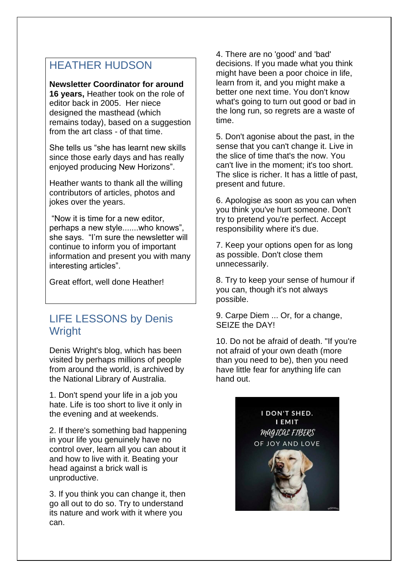## HEATHER HUDSON

#### **Newsletter Coordinator for around**

**16 years,** Heather took on the role of editor back in 2005. Her niece designed the masthead (which remains today), based on a suggestion from the art class - of that time.

She tells us "she has learnt new skills since those early days and has really enjoyed producing New Horizons".

Heather wants to thank all the willing contributors of articles, photos and jokes over the years.

"Now it is time for a new editor, perhaps a new style.......who knows", she says. "I'm sure the newsletter will continue to inform you of important information and present you with many interesting articles".

Great effort, well done Heather!

## LIFE LESSONS by Denis **Wright**

Denis Wright's blog, which has been visited by perhaps millions of people from around the world, is archived by the National Library of Australia.

1. Don't spend your life in a job you hate. Life is too short to live it only in the evening and at weekends.

2. If there's something bad happening in your life you genuinely have no control over, learn all you can about it and how to live with it. Beating your head against a brick wall is unproductive.

3. If you think you can change it, then go all out to do so. Try to understand its nature and work with it where you can.

4. There are no 'good' and 'bad' decisions. If you made what you think might have been a poor choice in life, learn from it, and you might make a better one next time. You don't know what's going to turn out good or bad in the long run, so regrets are a waste of time.

5. Don't agonise about the past, in the sense that you can't change it. Live in the slice of time that's the now. You can't live in the moment; it's too short. The slice is richer. It has a little of past, present and future.

6. Apologise as soon as you can when you think you've hurt someone. Don't try to pretend you're perfect. Accept responsibility where it's due.

7. Keep your options open for as long as possible. Don't close them unnecessarily.

8. Try to keep your sense of humour if you can, though it's not always possible.

9. Carpe Diem ... Or, for a change, SEIZE the DAY!

10. Do not be afraid of death. "If you're not afraid of your own death (more than you need to be), then you need have little fear for anything life can hand out.

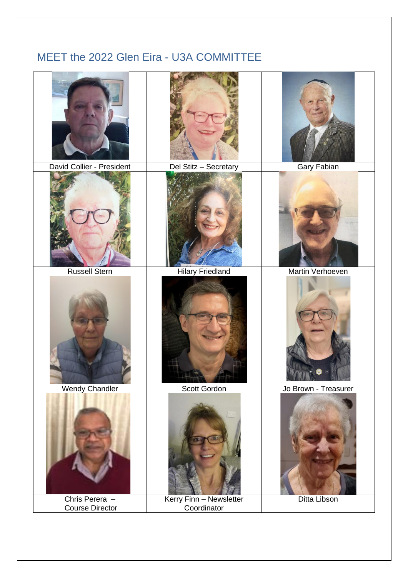# MEET the 2022 Glen Eira - U3A COMMITTEE

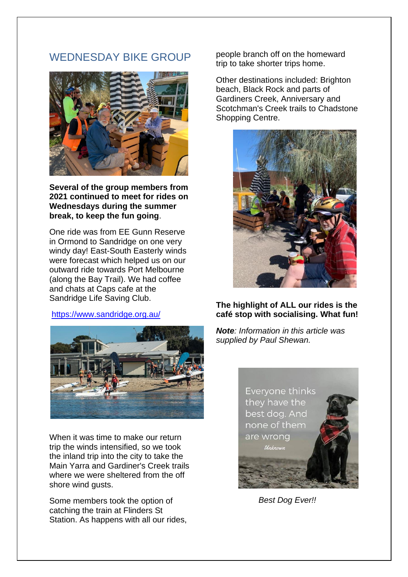## WEDNESDAY BIKE GROUP



**Several of the group members from 2021 continued to meet for rides on Wednesdays during the summer break, to keep the fun going**.

One ride was from EE Gunn Reserve in Ormond to Sandridge on one very windy day! East-South Easterly winds were forecast which helped us on our outward ride towards Port Melbourne (along the Bay Trail). We had coffee and chats at Caps cafe at the Sandridge Life Saving Club.

#### <https://www.sandridge.org.au/>



When it was time to make our return trip the winds intensified, so we took the inland trip into the city to take the Main Yarra and Gardiner's Creek trails where we were sheltered from the off shore wind gusts.

Some members took the option of catching the train at Flinders St Station. As happens with all our rides, people branch off on the homeward trip to take shorter trips home.

Other destinations included: Brighton beach, Black Rock and parts of Gardiners Creek, Anniversary and Scotchman's Creek trails to Chadstone Shopping Centre.



#### **The highlight of ALL our rides is the café stop with socialising. What fun!**

*Note: Information in this article was supplied by Paul Shewan.*



*Best Dog Ever!!*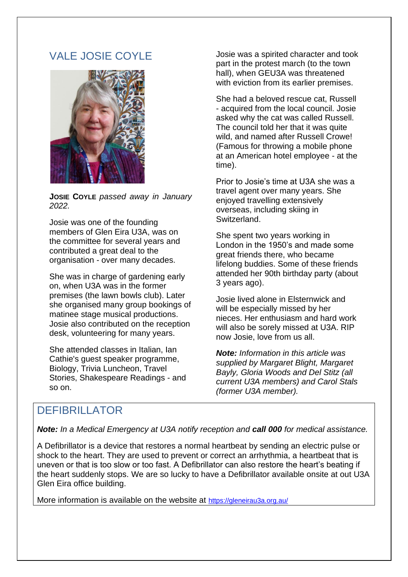## VALE JOSIE COYLE



**JOSIE COYLE** *passed away in January 2022.*

Josie was one of the founding members of Glen Eira U3A, was on the committee for several years and contributed a great deal to the organisation - over many decades.

She was in charge of gardening early on, when U3A was in the former premises (the lawn bowls club). Later she organised many group bookings of matinee stage musical productions. Josie also contributed on the reception desk, volunteering for many years.

She attended classes in Italian, Ian Cathie's guest speaker programme, Biology, Trivia Luncheon, Travel Stories, Shakespeare Readings - and so on.

Josie was a spirited character and took part in the protest march (to the town hall), when GEU3A was threatened with eviction from its earlier premises.

She had a beloved rescue cat, Russell - acquired from the local council. Josie asked why the cat was called Russell. The council told her that it was quite wild, and named after Russell Crowe! (Famous for throwing a mobile phone at an American hotel employee - at the time).

Prior to Josie's time at U3A she was a travel agent over many years. She enjoyed travelling extensively overseas, including skiing in Switzerland.

She spent two years working in London in the 1950's and made some great friends there, who became lifelong buddies. Some of these friends attended her 90th birthday party (about 3 years ago).

Josie lived alone in Elsternwick and will be especially missed by her nieces. Her enthusiasm and hard work will also be sorely missed at U3A. RIP now Josie, love from us all.

*Note: Information in this article was supplied by Margaret Blight, Margaret Bayly, Gloria Woods and Del Stitz (all current U3A members) and Carol Stals (former U3A member).*

## DEFIBRILLATOR

*Note: In a Medical Emergency at U3A notify reception and call 000 for medical assistance.*

A Defibrillator is a device that restores a normal heartbeat by sending an electric pulse or shock to the heart. They are used to prevent or correct an arrhythmia, a heartbeat that is uneven or that is too slow or too fast. A Defibrillator can also restore the heart's beating if the heart suddenly stops. We are so lucky to have a Defibrillator available onsite at out U3A Glen Eira office building.

More information is available on the website at <https://gleneirau3a.org.au/>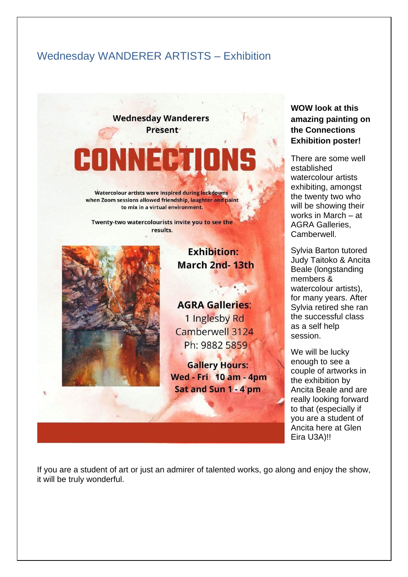## Wednesday WANDERER ARTISTS – Exhibition

**Wednesday Wanderers Present** 

# CONNECTI

Watercolour artists were inspired during lockdowns when Zoom sessions allowed friendship, laughter and paint to mix in a virtual environment.

Twenty-two watercolourists invite you to see the results.



## **Exhibition: March 2nd-13th**

**AGRA Galleries:** 1 Inglesby Rd Camberwell 3124 Ph: 9882 5859

**Gallery Hours: Wed - Fri 10 am - 4pm** Sat and Sun 1 - 4 pm

**WOW look at this amazing painting on the Connections Exhibition poster!**

There are some well established watercolour artists exhibiting, amongst the twenty two who will be showing their works in March – at AGRA Galleries, Camberwell.

Sylvia Barton tutored Judy Taitoko & Ancita Beale (longstanding members & watercolour artists), for many years. After Sylvia retired she ran the successful class as a self help session.

We will be lucky enough to see a couple of artworks in the exhibition by Ancita Beale and are really looking forward to that (especially if you are a student of Ancita here at Glen Eira U3A)!!

If you are a student of art or just an admirer of talented works, go along and enjoy the show, it will be truly wonderful.